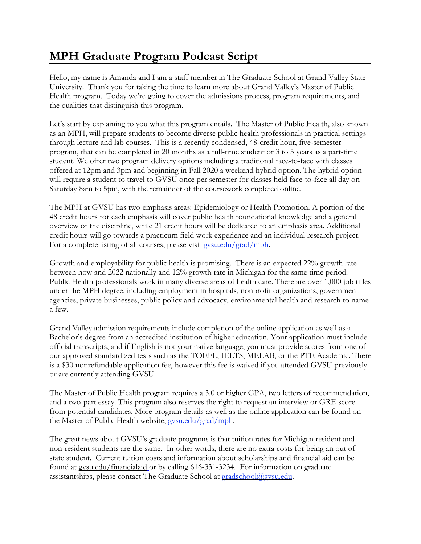## **MPH Graduate Program Podcast Script**

Hello, my name is Amanda and I am a staff member in The Graduate School at Grand Valley State University. Thank you for taking the time to learn more about Grand Valley's Master of Public Health program. Today we're going to cover the admissions process, program requirements, and the qualities that distinguish this program.

Let's start by explaining to you what this program entails. The Master of Public Health, also known as an MPH, will prepare students to become diverse public health professionals in practical settings through lecture and lab courses. This is a recently condensed, 48-credit hour, five-semester program, that can be completed in 20 months as a full-time student or 3 to 5 years as a part-time student. We offer two program delivery options including a traditional face-to-face with classes offered at 12pm and 3pm and beginning in Fall 2020 a weekend hybrid option. The hybrid option will require a student to travel to GVSU once per semester for classes held face-to-face all day on Saturday 8am to 5pm, with the remainder of the coursework completed online.

The MPH at GVSU has two emphasis areas: Epidemiology or Health Promotion. A portion of the 48 credit hours for each emphasis will cover public health foundational knowledge and a general overview of the discipline, while 21 credit hours will be dedicated to an emphasis area. Additional credit hours will go towards a practicum field work experience and an individual research project. For a complete listing of all courses, please visit [gvsu.edu/grad/mph.](http://www.gvsu.edu/grad/mph)

Growth and employability for public health is promising. There is an expected 22% growth rate between now and 2022 nationally and 12% growth rate in Michigan for the same time period. Public Health professionals work in many diverse areas of health care. There are over 1,000 job titles under the MPH degree, including employment in hospitals, nonprofit organizations, government agencies, private businesses, public policy and advocacy, environmental health and research to name a few.

Grand Valley admission requirements include completion of the online application as well as a Bachelor's degree from an accredited institution of higher education. Your application must include official transcripts, and if English is not your native language, you must provide scores from one of our approved standardized tests such as the TOEFL, IELTS, MELAB, or the PTE Academic. There is a \$30 nonrefundable application fee, however this fee is waived if you attended GVSU previously or are currently attending GVSU.

The Master of Public Health program requires a 3.0 or higher GPA, two letters of recommendation, and a two-part essay. This program also reserves the right to request an interview or GRE score from potential candidates. More program details as well as the online application can be found on the Master of Public Health website, [gvsu.edu/grad/mph.](http://www.gvsu.edu/grad/mph)

The great news about GVSU's graduate programs is that tuition rates for Michigan resident and non-resident students are the same. In other words, there are no extra costs for being an out of state student. Current tuition costs and information about scholarships and financial aid can be found at [gvsu.edu/financialaid](https://www.gvsu.edu/financialaid/) or by calling 616-331-3234. For information on graduate assistantships, please contact The Graduate School at [gradschool@gvsu.edu.](mailto:gradschool@gvsu.edu)